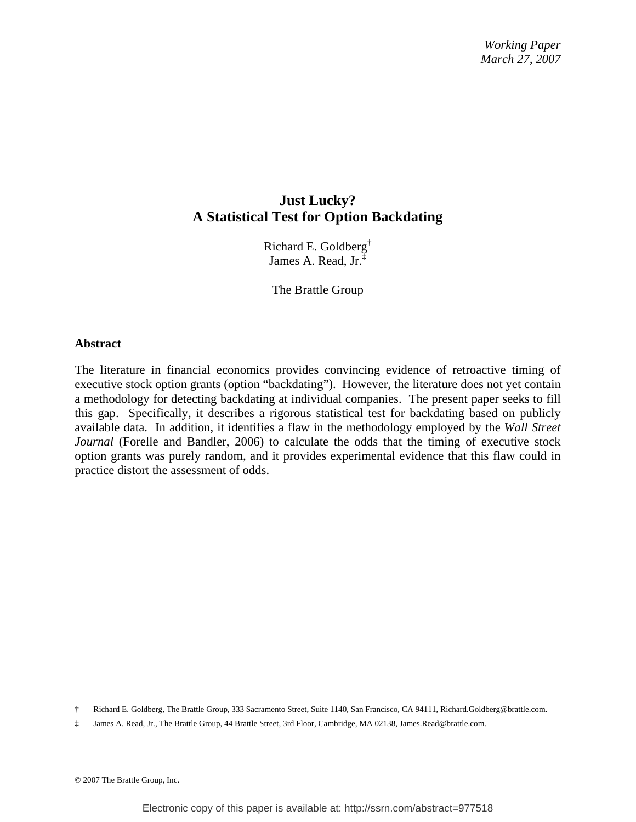# **Just Lucky? A Statistical Test for Option Backdating**

Richard E. Goldberg† James A. Read, Jr.‡

The Brattle Group

#### **Abstract**

The literature in financial economics provides convincing evidence of retroactive timing of executive stock option grants (option "backdating"). However, the literature does not yet contain a methodology for detecting backdating at individual companies. The present paper seeks to fill this gap. Specifically, it describes a rigorous statistical test for backdating based on publicly available data. In addition, it identifies a flaw in the methodology employed by the *Wall Street Journal* (Forelle and Bandler, 2006) to calculate the odds that the timing of executive stock option grants was purely random, and it provides experimental evidence that this flaw could in practice distort the assessment of odds.

<sup>†</sup> Richard E. Goldberg, The Brattle Group, 333 Sacramento Street, Suite 1140, San Francisco, CA 94111, Richard.Goldberg@brattle.com.

<sup>‡</sup> James A. Read, Jr., The Brattle Group, 44 Brattle Street, 3rd Floor, Cambridge, MA 02138, James.Read@brattle.com.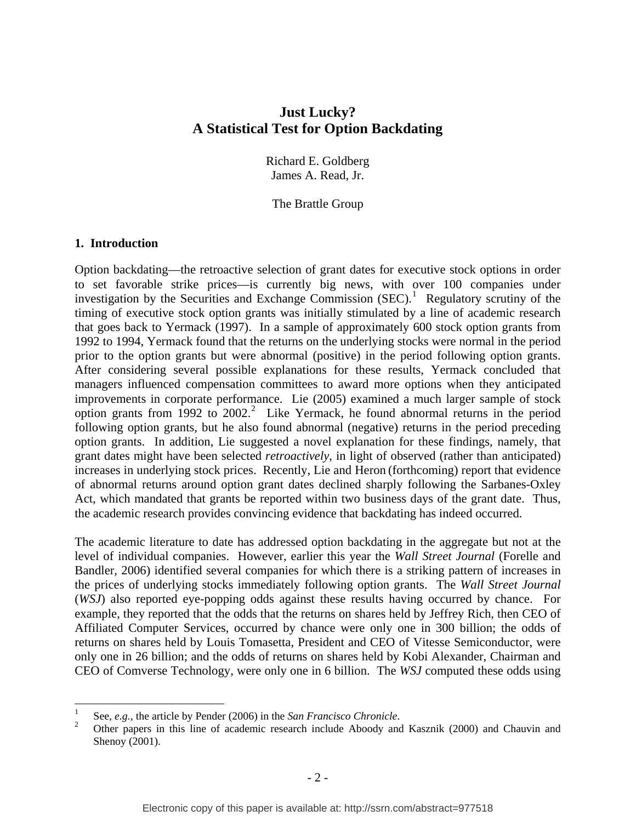## **Just Lucky? A Statistical Test for Option Backdating**

Richard E. Goldberg James A. Read, Jr.

The Brattle Group

### **1. Introduction**

 $\overline{a}$ 

Option backdating—the retroactive selection of grant dates for executive stock options in order to set favorable strike prices—is currently big news, with over 100 companies under investigation by the Securities and Exchange Commission  $(SEC)$ <sup>[1](#page-1-0)</sup> Regulatory scrutiny of the timing of executive stock option grants was initially stimulated by a line of academic research that goes back to Yermack (1997). In a sample of approximately 600 stock option grants from 1992 to 1994, Yermack found that the returns on the underlying stocks were normal in the period prior to the option grants but were abnormal (positive) in the period following option grants. After considering several possible explanations for these results, Yermack concluded that managers influenced compensation committees to award more options when they anticipated improvements in corporate performance. Lie (2005) examined a much larger sample of stock option grants from  $1992$  $1992$  to  $2002<sup>2</sup>$ . Like Yermack, he found abnormal returns in the period following option grants, but he also found abnormal (negative) returns in the period preceding option grants. In addition, Lie suggested a novel explanation for these findings, namely, that grant dates might have been selected *retroactively*, in light of observed (rather than anticipated) increases in underlying stock prices. Recently, Lie and Heron (forthcoming) report that evidence of abnormal returns around option grant dates declined sharply following the Sarbanes-Oxley Act, which mandated that grants be reported within two business days of the grant date. Thus, the academic research provides convincing evidence that backdating has indeed occurred.

The academic literature to date has addressed option backdating in the aggregate but not at the level of individual companies. However, earlier this year the *Wall Street Journal* (Forelle and Bandler, 2006) identified several companies for which there is a striking pattern of increases in the prices of underlying stocks immediately following option grants. The *Wall Street Journal* (*WSJ*) also reported eye-popping odds against these results having occurred by chance. For example, they reported that the odds that the returns on shares held by Jeffrey Rich, then CEO of Affiliated Computer Services, occurred by chance were only one in 300 billion; the odds of returns on shares held by Louis Tomasetta, President and CEO of Vitesse Semiconductor, were only one in 26 billion; and the odds of returns on shares held by Kobi Alexander, Chairman and CEO of Comverse Technology, were only one in 6 billion. The *WSJ* computed these odds using

<span id="page-1-0"></span><sup>1</sup> See,  $e.g.,$  the article by Pender (2006) in the *San Francisco Chronicle*.

<span id="page-1-1"></span>Other papers in this line of academic research include Aboody and Kasznik (2000) and Chauvin and Shenoy (2001).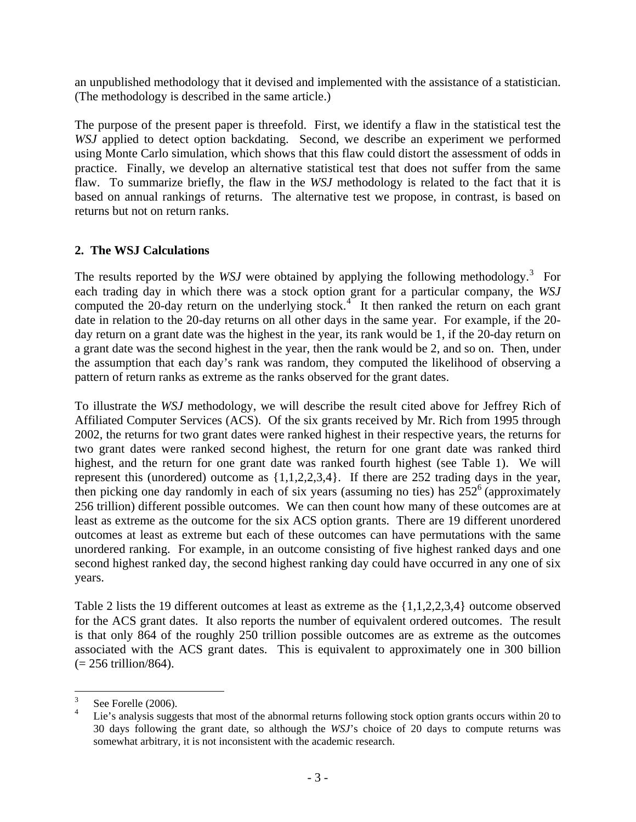an unpublished methodology that it devised and implemented with the assistance of a statistician. (The methodology is described in the same article.)

The purpose of the present paper is threefold. First, we identify a flaw in the statistical test the *WSJ* applied to detect option backdating. Second, we describe an experiment we performed using Monte Carlo simulation, which shows that this flaw could distort the assessment of odds in practice. Finally, we develop an alternative statistical test that does not suffer from the same flaw. To summarize briefly, the flaw in the *WSJ* methodology is related to the fact that it is based on annual rankings of returns. The alternative test we propose, in contrast, is based on returns but not on return ranks.

## **2. The WSJ Calculations**

The results reported by the *WSJ* were obtained by applying the following methodology.<sup>[3](#page-2-0)</sup> For each trading day in which there was a stock option grant for a particular company, the *WSJ* computed the 20-day return on the underlying stock.<sup>[4](#page-2-1)</sup> It then ranked the return on each grant date in relation to the 20-day returns on all other days in the same year. For example, if the 20 day return on a grant date was the highest in the year, its rank would be 1, if the 20-day return on a grant date was the second highest in the year, then the rank would be 2, and so on. Then, under the assumption that each day's rank was random, they computed the likelihood of observing a pattern of return ranks as extreme as the ranks observed for the grant dates.

To illustrate the *WSJ* methodology, we will describe the result cited above for Jeffrey Rich of Affiliated Computer Services (ACS). Of the six grants received by Mr. Rich from 1995 through 2002, the returns for two grant dates were ranked highest in their respective years, the returns for two grant dates were ranked second highest, the return for one grant date was ranked third highest, and the return for one grant date was ranked fourth highest (see Table 1). We will represent this (unordered) outcome as {1,1,2,2,3,4}. If there are 252 trading days in the year, then picking one day randomly in each of six years (assuming no ties) has  $252^{\circ}$  (approximately 256 trillion) different possible outcomes. We can then count how many of these outcomes are at least as extreme as the outcome for the six ACS option grants. There are 19 different unordered outcomes at least as extreme but each of these outcomes can have permutations with the same unordered ranking. For example, in an outcome consisting of five highest ranked days and one second highest ranked day, the second highest ranking day could have occurred in any one of six years.

Table 2 lists the 19 different outcomes at least as extreme as the {1,1,2,2,3,4} outcome observed for the ACS grant dates. It also reports the number of equivalent ordered outcomes. The result is that only 864 of the roughly 250 trillion possible outcomes are as extreme as the outcomes associated with the ACS grant dates. This is equivalent to approximately one in 300 billion  $(= 256 \, \text{trillion}/864).$ 

 3 See Forelle (2006).

<span id="page-2-1"></span><span id="page-2-0"></span><sup>4</sup> Lie's analysis suggests that most of the abnormal returns following stock option grants occurs within 20 to 30 days following the grant date, so although the *WSJ*'s choice of 20 days to compute returns was somewhat arbitrary, it is not inconsistent with the academic research.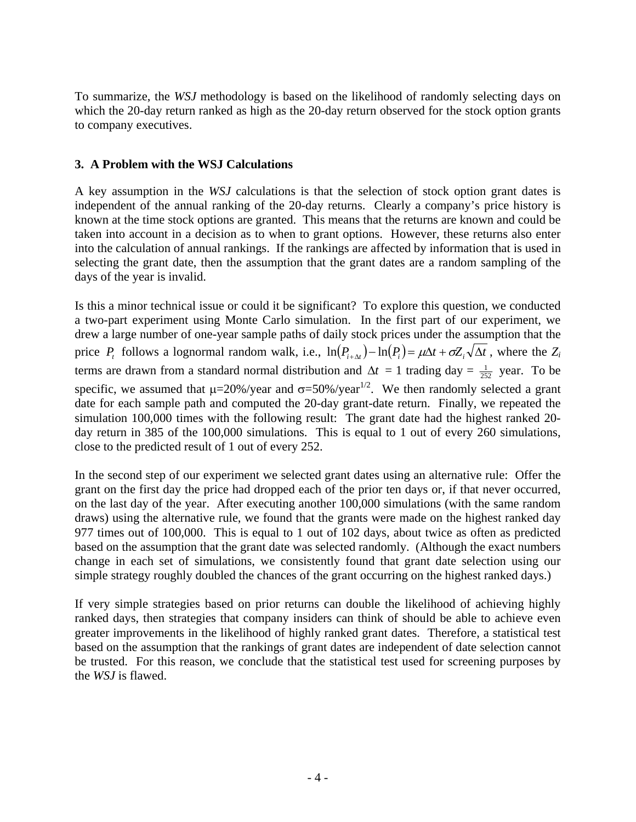To summarize, the *WSJ* methodology is based on the likelihood of randomly selecting days on which the 20-day return ranked as high as the 20-day return observed for the stock option grants to company executives.

### **3. A Problem with the WSJ Calculations**

A key assumption in the *WSJ* calculations is that the selection of stock option grant dates is independent of the annual ranking of the 20-day returns. Clearly a company's price history is known at the time stock options are granted. This means that the returns are known and could be taken into account in a decision as to when to grant options. However, these returns also enter into the calculation of annual rankings. If the rankings are affected by information that is used in selecting the grant date, then the assumption that the grant dates are a random sampling of the days of the year is invalid.

Is this a minor technical issue or could it be significant? To explore this question, we conducted a two-part experiment using Monte Carlo simulation. In the first part of our experiment, we drew a large number of one-year sample paths of daily stock prices under the assumption that the price  $P_t$  follows a lognormal random walk, i.e.,  $\ln(P_{t+\Delta t}) - \ln(P_t) = \mu \Delta t + \sigma Z_t \sqrt{\Delta t}$ , where the  $Z_t$ terms are drawn from a standard normal distribution and  $\Delta t = 1$  trading day =  $\frac{1}{252}$  year. To be specific, we assumed that  $\mu$ =20%/year and  $\sigma$ =50%/year<sup>1/2</sup>. We then randomly selected a grant date for each sample path and computed the 20-day grant-date return. Finally, we repeated the simulation 100,000 times with the following result: The grant date had the highest ranked 20 day return in 385 of the 100,000 simulations. This is equal to 1 out of every 260 simulations, close to the predicted result of 1 out of every 252.

In the second step of our experiment we selected grant dates using an alternative rule: Offer the grant on the first day the price had dropped each of the prior ten days or, if that never occurred, on the last day of the year. After executing another 100,000 simulations (with the same random draws) using the alternative rule, we found that the grants were made on the highest ranked day 977 times out of 100,000. This is equal to 1 out of 102 days, about twice as often as predicted based on the assumption that the grant date was selected randomly. (Although the exact numbers change in each set of simulations, we consistently found that grant date selection using our simple strategy roughly doubled the chances of the grant occurring on the highest ranked days.)

If very simple strategies based on prior returns can double the likelihood of achieving highly ranked days, then strategies that company insiders can think of should be able to achieve even greater improvements in the likelihood of highly ranked grant dates. Therefore, a statistical test based on the assumption that the rankings of grant dates are independent of date selection cannot be trusted. For this reason, we conclude that the statistical test used for screening purposes by the *WSJ* is flawed.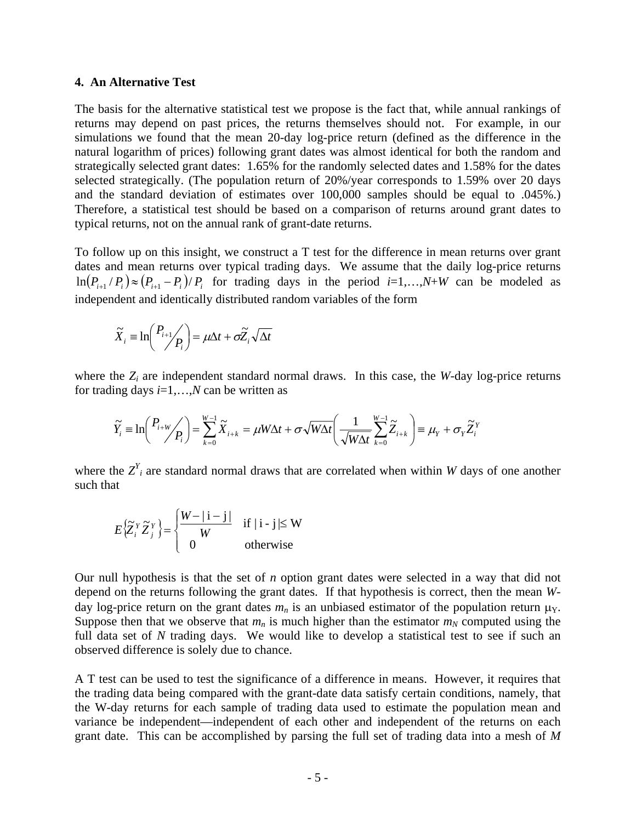#### **4. An Alternative Test**

The basis for the alternative statistical test we propose is the fact that, while annual rankings of returns may depend on past prices, the returns themselves should not. For example, in our simulations we found that the mean 20-day log-price return (defined as the difference in the natural logarithm of prices) following grant dates was almost identical for both the random and strategically selected grant dates: 1.65% for the randomly selected dates and 1.58% for the dates selected strategically. (The population return of 20%/year corresponds to 1.59% over 20 days and the standard deviation of estimates over 100,000 samples should be equal to .045%.) Therefore, a statistical test should be based on a comparison of returns around grant dates to typical returns, not on the annual rank of grant-date returns.

To follow up on this insight, we construct a T test for the difference in mean returns over grant dates and mean returns over typical trading days. We assume that the daily log-price returns  $\ln(P_{i+1}/P_i) \approx (P_{i+1} - P_i)/P_i$  for trading days in the period *i*=1,...,*N*+*W* can be modeled as independent and identically distributed random variables of the form

$$
\widetilde{X}_i \equiv \ln\left(\frac{P_{i+1}}{P_i}\right) = \mu \Delta t + \sigma \widetilde{Z}_i \sqrt{\Delta t}
$$

where the  $Z_i$  are independent standard normal draws. In this case, the *W*-day log-price returns for trading days *i*=1,…,*N* can be written as

$$
\widetilde{Y}_i \equiv \ln\left(\frac{P_{i+W}}{P_i}\right) = \sum_{k=0}^{W-1} \widetilde{X}_{i+k} = \mu W \Delta t + \sigma \sqrt{W \Delta t} \left(\frac{1}{\sqrt{W \Delta t}} \sum_{k=0}^{W-1} \widetilde{Z}_{i+k}\right) \equiv \mu_Y + \sigma_Y \widetilde{Z}_i^Y
$$

where the  $Z<sup>Y</sup><sub>i</sub>$  are standard normal draws that are correlated when within *W* days of one another such that

$$
E\left\{\widetilde{Z}_{i}^{Y}\widetilde{Z}_{j}^{Y}\right\} = \begin{cases} \frac{W - |i - j|}{W} & \text{if } |i - j| \leq W \\ 0 & \text{otherwise} \end{cases}
$$

Our null hypothesis is that the set of *n* option grant dates were selected in a way that did not depend on the returns following the grant dates. If that hypothesis is correct, then the mean *W*day log-price return on the grant dates  $m_n$  is an unbiased estimator of the population return  $\mu_Y$ . Suppose then that we observe that  $m_n$  is much higher than the estimator  $m_N$  computed using the full data set of *N* trading days. We would like to develop a statistical test to see if such an observed difference is solely due to chance.

A T test can be used to test the significance of a difference in means. However, it requires that the trading data being compared with the grant-date data satisfy certain conditions, namely, that the W-day returns for each sample of trading data used to estimate the population mean and variance be independent—independent of each other and independent of the returns on each grant date. This can be accomplished by parsing the full set of trading data into a mesh of *M*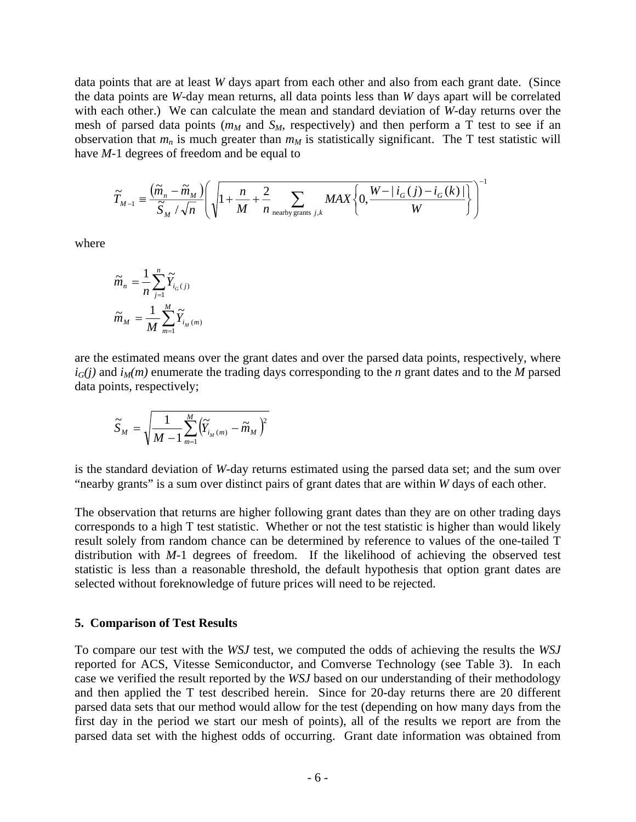data points that are at least *W* days apart from each other and also from each grant date. (Since the data points are *W*-day mean returns, all data points less than *W* days apart will be correlated with each other.) We can calculate the mean and standard deviation of *W*-day returns over the mesh of parsed data points ( $m<sub>M</sub>$  and  $S<sub>M</sub>$ , respectively) and then perform a T test to see if an observation that  $m_n$  is much greater than  $m_M$  is statistically significant. The T test statistic will have *M*-1 degrees of freedom and be equal to

$$
\widetilde{T}_{M-1} = \frac{(\widetilde{m}_n - \widetilde{m}_M)}{\widetilde{S}_M / \sqrt{n}} \left( \sqrt{1 + \frac{n}{M} + \frac{2}{n} \sum_{\text{nearby grants } j,k} MAX \left\{ 0, \frac{W - |i_G(j) - i_G(k)|}{W} \right\}} \right)^{-1}
$$

where

$$
\widetilde{m}_n = \frac{1}{n} \sum_{j=1}^n \widetilde{Y}_{i_G(j)}
$$

$$
\widetilde{m}_M = \frac{1}{M} \sum_{m=1}^M \widetilde{Y}_{i_M(m)}
$$

are the estimated means over the grant dates and over the parsed data points, respectively, where  $i_G(j)$  and  $i_M(m)$  enumerate the trading days corresponding to the *n* grant dates and to the *M* parsed data points, respectively;

$$
\widetilde{S}_M = \sqrt{\frac{1}{M-1}\sum_{m=1}^M \left(\widetilde{Y}_{i_M(m)} - \widetilde{m}_M\right)^2}
$$

is the standard deviation of *W*-day returns estimated using the parsed data set; and the sum over "nearby grants" is a sum over distinct pairs of grant dates that are within *W* days of each other.

The observation that returns are higher following grant dates than they are on other trading days corresponds to a high T test statistic. Whether or not the test statistic is higher than would likely result solely from random chance can be determined by reference to values of the one-tailed T distribution with *M*-1 degrees of freedom. If the likelihood of achieving the observed test statistic is less than a reasonable threshold, the default hypothesis that option grant dates are selected without foreknowledge of future prices will need to be rejected.

#### **5. Comparison of Test Results**

To compare our test with the *WSJ* test, we computed the odds of achieving the results the *WSJ* reported for ACS, Vitesse Semiconductor, and Comverse Technology (see Table 3). In each case we verified the result reported by the *WSJ* based on our understanding of their methodology and then applied the T test described herein. Since for 20-day returns there are 20 different parsed data sets that our method would allow for the test (depending on how many days from the first day in the period we start our mesh of points), all of the results we report are from the parsed data set with the highest odds of occurring. Grant date information was obtained from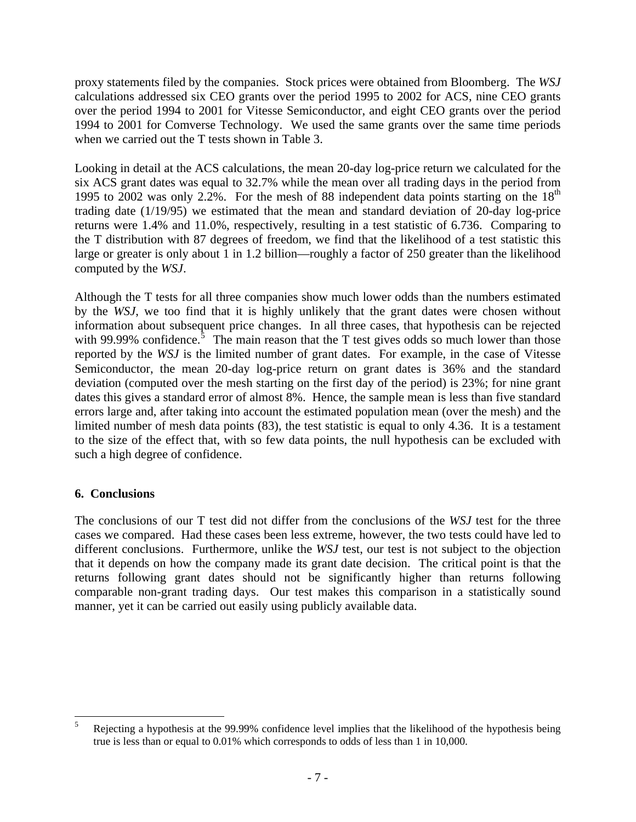proxy statements filed by the companies. Stock prices were obtained from Bloomberg. The *WSJ* calculations addressed six CEO grants over the period 1995 to 2002 for ACS, nine CEO grants over the period 1994 to 2001 for Vitesse Semiconductor, and eight CEO grants over the period 1994 to 2001 for Comverse Technology. We used the same grants over the same time periods when we carried out the T tests shown in Table 3.

Looking in detail at the ACS calculations, the mean 20-day log-price return we calculated for the six ACS grant dates was equal to 32.7% while the mean over all trading days in the period from 1995 to 2002 was only 2.2%. For the mesh of 88 independent data points starting on the  $18<sup>th</sup>$ trading date (1/19/95) we estimated that the mean and standard deviation of 20-day log-price returns were 1.4% and 11.0%, respectively, resulting in a test statistic of 6.736. Comparing to the T distribution with 87 degrees of freedom, we find that the likelihood of a test statistic this large or greater is only about 1 in 1.2 billion—roughly a factor of 250 greater than the likelihood computed by the *WSJ*.

Although the T tests for all three companies show much lower odds than the numbers estimated by the *WSJ*, we too find that it is highly unlikely that the grant dates were chosen without information about subsequent price changes. In all three cases, that hypothesis can be rejected with 99.99% confidence.<sup>[5](#page-6-0)</sup> The main reason that the T test gives odds so much lower than those reported by the *WSJ* is the limited number of grant dates. For example, in the case of Vitesse Semiconductor, the mean 20-day log-price return on grant dates is 36% and the standard deviation (computed over the mesh starting on the first day of the period) is 23%; for nine grant dates this gives a standard error of almost 8%. Hence, the sample mean is less than five standard errors large and, after taking into account the estimated population mean (over the mesh) and the limited number of mesh data points (83), the test statistic is equal to only 4.36. It is a testament to the size of the effect that, with so few data points, the null hypothesis can be excluded with such a high degree of confidence.

## **6. Conclusions**

The conclusions of our T test did not differ from the conclusions of the *WSJ* test for the three cases we compared. Had these cases been less extreme, however, the two tests could have led to different conclusions. Furthermore, unlike the *WSJ* test, our test is not subject to the objection that it depends on how the company made its grant date decision. The critical point is that the returns following grant dates should not be significantly higher than returns following comparable non-grant trading days. Our test makes this comparison in a statistically sound manner, yet it can be carried out easily using publicly available data.

<span id="page-6-0"></span> $\frac{1}{5}$  Rejecting a hypothesis at the 99.99% confidence level implies that the likelihood of the hypothesis being true is less than or equal to 0.01% which corresponds to odds of less than 1 in 10,000.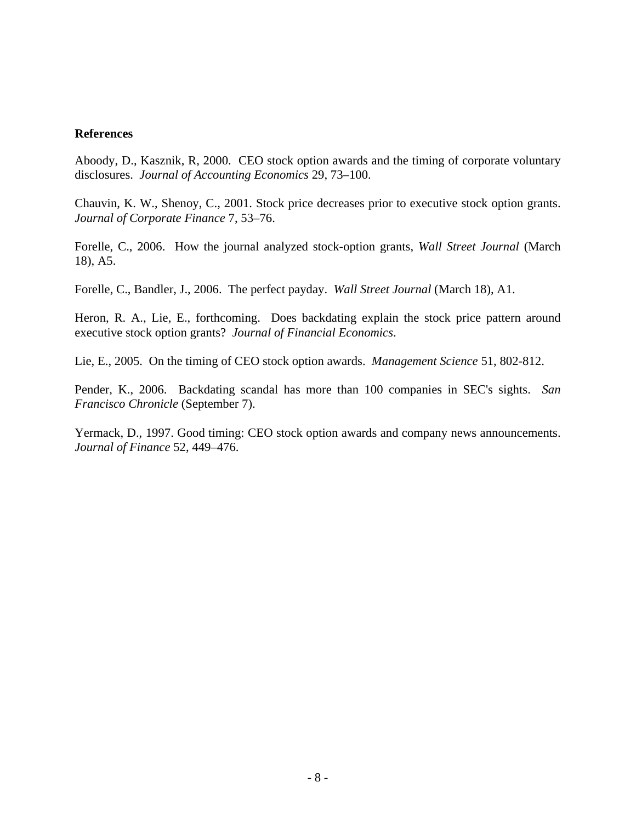### **References**

Aboody, D., Kasznik, R, 2000. CEO stock option awards and the timing of corporate voluntary disclosures. *Journal of Accounting Economics* 29, 73–100.

Chauvin, K. W., Shenoy, C., 2001. Stock price decreases prior to executive stock option grants. *Journal of Corporate Finance* 7, 53–76.

Forelle, C., 2006. How the journal analyzed stock-option grants, *Wall Street Journal* (March 18), A5.

Forelle, C., Bandler, J., 2006. The perfect payday. *Wall Street Journal* (March 18), A1.

Heron, R. A., Lie, E., forthcoming. Does backdating explain the stock price pattern around executive stock option grants? *Journal of Financial Economics*.

Lie, E., 2005. On the timing of CEO stock option awards. *Management Science* 51, 802-812.

Pender, K., 2006. Backdating scandal has more than 100 companies in SEC's sights. *San Francisco Chronicle* (September 7).

Yermack, D., 1997. Good timing: CEO stock option awards and company news announcements. *Journal of Finance* 52, 449–476.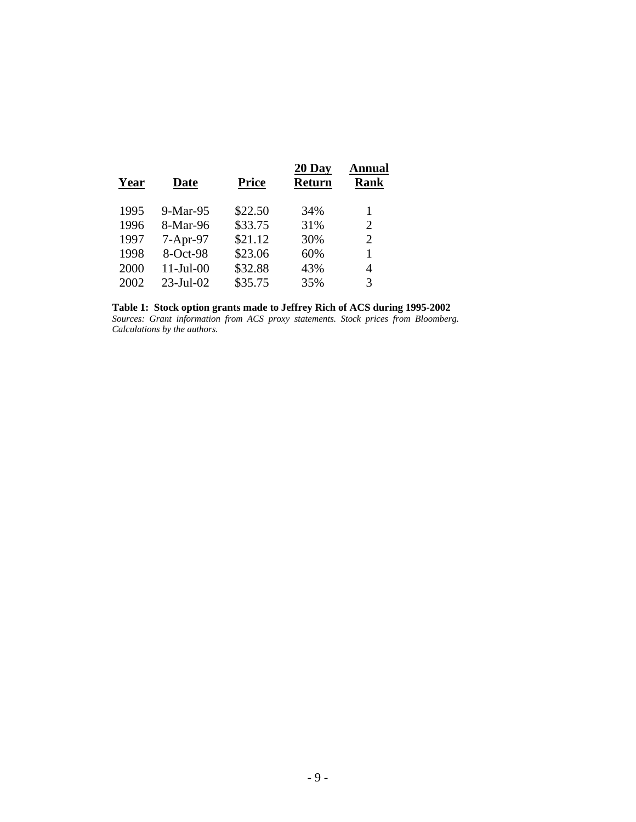| Year | <b>Date</b>  | <b>Price</b> | 20 Day<br><b>Return</b> | Annual<br><b>Rank</b> |
|------|--------------|--------------|-------------------------|-----------------------|
| 1995 | $9-Mar-95$   | \$22.50      | 34%                     | 1                     |
| 1996 | 8-Mar-96     | \$33.75      | 31%                     | $\overline{2}$        |
| 1997 | $7-Apr-97$   | \$21.12      | 30%                     | $\overline{2}$        |
| 1998 | 8-Oct-98     | \$23.06      | 60%                     | 1                     |
| 2000 | $11-Jul-00$  | \$32.88      | 43%                     | 4                     |
| 2002 | $23$ -Jul-02 | \$35.75      | 35%                     | 3                     |
|      |              |              |                         |                       |

#### **Table 1: Stock option grants made to Jeffrey Rich of ACS during 1995-2002**

*Sources: Grant information from ACS proxy statements. Stock prices from Bloomberg. Calculations by the authors.*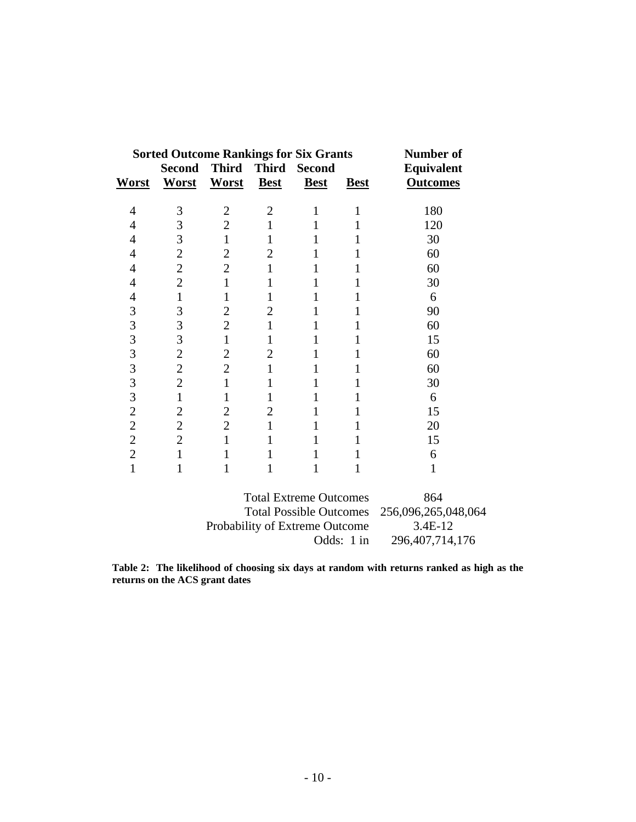| <b>Sorted Outcome Rankings for Six Grants</b> |                |                |                |               |             | Number of         |
|-----------------------------------------------|----------------|----------------|----------------|---------------|-------------|-------------------|
|                                               | <b>Second</b>  | <b>Third</b>   | <b>Third</b>   | <b>Second</b> |             | <b>Equivalent</b> |
| <b>Worst</b>                                  | Worst          | Worst          | <b>Best</b>    | <b>Best</b>   | <b>Best</b> | <b>Outcomes</b>   |
| 4                                             | 3              | 2              | $\overline{2}$ |               |             | 180               |
| 4                                             | 3              | $\overline{2}$ |                |               |             | 120               |
| 4                                             | 3              | $\mathbf{1}$   |                |               |             | 30                |
| 4                                             | $\mathbf{2}$   | $\overline{c}$ | 2              |               |             | 60                |
| 4                                             | $\overline{2}$ | $\overline{2}$ |                |               |             | 60                |
| 4                                             | $\overline{2}$ | $\mathbf{1}$   |                |               |             | 30                |
| 4                                             | $\mathbf{1}$   | 1              |                |               |             | 6                 |
| 3                                             | 3              | $\overline{2}$ | 2              |               |             | 90                |
| 3                                             | 3              | $\overline{2}$ |                |               |             | 60                |
| 3                                             | 3              | $\mathbf{1}$   |                |               |             | 15                |
| 3                                             | $\overline{2}$ | $\overline{c}$ | 2              |               |             | 60                |
| $\overline{3}$                                | $\overline{2}$ | $\overline{2}$ |                |               |             | 60                |
| 3                                             | $\overline{2}$ | $\mathbf{1}$   |                | 1             |             | 30                |
| 3                                             | $\mathbf{1}$   | 1              |                |               |             | 6                 |
| $\overline{c}$                                | $\overline{2}$ | $\overline{2}$ | 2              |               |             | 15                |
| $\overline{c}$                                | $\overline{2}$ | $\overline{2}$ |                |               |             | 20                |
| $\overline{2}$                                | $\overline{2}$ | 1              |                |               |             | 15                |
| $\overline{2}$                                | 1              |                |                |               |             | 6                 |
| 1                                             |                |                |                |               |             | 1                 |

| <b>Total Extreme Outcomes</b>               | 864                |
|---------------------------------------------|--------------------|
| Total Possible Outcomes 256,096,265,048,064 |                    |
| Probability of Extreme Outcome              | 3.4E-12            |
| Odds: 1 in                                  | 296, 407, 714, 176 |

**Table 2: The likelihood of choosing six days at random with returns ranked as high as the returns on the ACS grant dates**